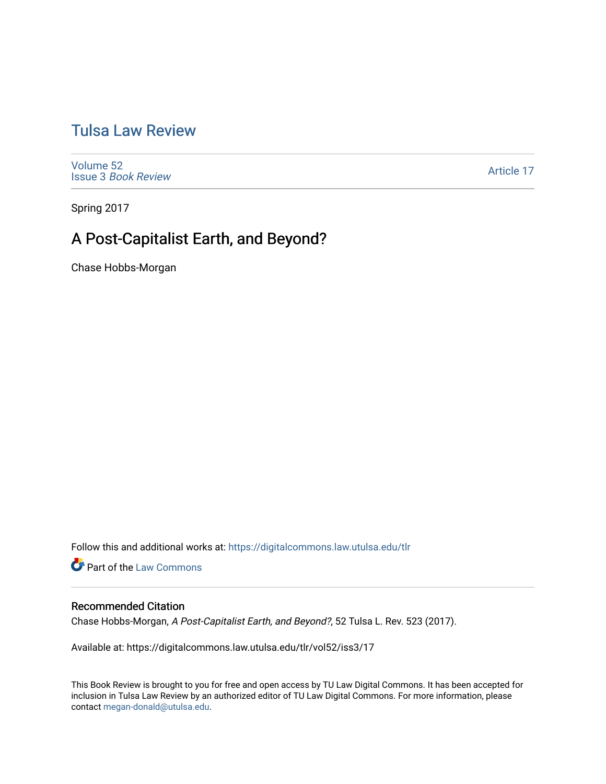# [Tulsa Law Review](https://digitalcommons.law.utulsa.edu/tlr)

[Volume 52](https://digitalcommons.law.utulsa.edu/tlr/vol52) Issue 3 [Book Review](https://digitalcommons.law.utulsa.edu/tlr/vol52/iss3)

[Article 17](https://digitalcommons.law.utulsa.edu/tlr/vol52/iss3/17) 

Spring 2017

# A Post-Capitalist Earth, and Beyond?

Chase Hobbs-Morgan

Follow this and additional works at: [https://digitalcommons.law.utulsa.edu/tlr](https://digitalcommons.law.utulsa.edu/tlr?utm_source=digitalcommons.law.utulsa.edu%2Ftlr%2Fvol52%2Fiss3%2F17&utm_medium=PDF&utm_campaign=PDFCoverPages) 

**Part of the [Law Commons](http://network.bepress.com/hgg/discipline/578?utm_source=digitalcommons.law.utulsa.edu%2Ftlr%2Fvol52%2Fiss3%2F17&utm_medium=PDF&utm_campaign=PDFCoverPages)** 

### Recommended Citation

Chase Hobbs-Morgan, A Post-Capitalist Earth, and Beyond?, 52 Tulsa L. Rev. 523 (2017).

Available at: https://digitalcommons.law.utulsa.edu/tlr/vol52/iss3/17

This Book Review is brought to you for free and open access by TU Law Digital Commons. It has been accepted for inclusion in Tulsa Law Review by an authorized editor of TU Law Digital Commons. For more information, please contact [megan-donald@utulsa.edu.](mailto:megan-donald@utulsa.edu)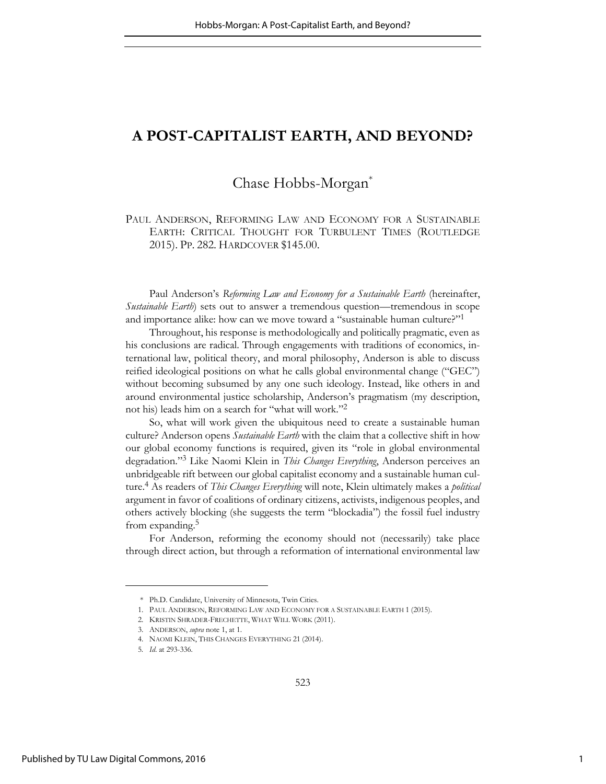## **A POST-CAPITALIST EARTH, AND BEYOND?**

## Chase Hobbs-Morgan\*

PAUL ANDERSON, REFORMING LAW AND ECONOMY FOR A SUSTAINABLE EARTH: CRITICAL THOUGHT FOR TURBULENT TIMES (ROUTLEDGE 2015). PP. 282. HARDCOVER \$145.00.

Paul Anderson's *Reforming Law and Economy for a Sustainable Earth* (hereinafter, *Sustainable Earth*) sets out to answer a tremendous question—tremendous in scope and importance alike: how can we move toward a "sustainable human culture?"<sup>1</sup>

Throughout, his response is methodologically and politically pragmatic, even as his conclusions are radical. Through engagements with traditions of economics, international law, political theory, and moral philosophy, Anderson is able to discuss reified ideological positions on what he calls global environmental change ("GEC") without becoming subsumed by any one such ideology. Instead, like others in and around environmental justice scholarship, Anderson's pragmatism (my description, not his) leads him on a search for "what will work."<sup>2</sup>

So, what will work given the ubiquitous need to create a sustainable human culture? Anderson opens *Sustainable Earth* with the claim that a collective shift in how our global economy functions is required, given its "role in global environmental degradation."<sup>3</sup> Like Naomi Klein in *This Changes Everything*, Anderson perceives an unbridgeable rift between our global capitalist economy and a sustainable human culture.<sup>4</sup> As readers of *This Changes Everything* will note, Klein ultimately makes a *political* argument in favor of coalitions of ordinary citizens, activists, indigenous peoples, and others actively blocking (she suggests the term "blockadia") the fossil fuel industry from expanding.<sup>5</sup>

For Anderson, reforming the economy should not (necessarily) take place through direct action, but through a reformation of international environmental law

<sup>\*</sup> Ph.D. Candidate, University of Minnesota, Twin Cities.

<sup>1.</sup> PAUL ANDERSON, REFORMING LAW AND ECONOMY FOR A SUSTAINABLE EARTH 1 (2015).

<sup>2.</sup> KRISTIN SHRADER-FRECHETTE, WHAT WILL WORK (2011).

<sup>3.</sup> ANDERSON, *supra* note 1, at 1.

<sup>4.</sup> NAOMI KLEIN, THIS CHANGES EVERYTHING 21 (2014).

<sup>5</sup>*. Id*. at 293-336.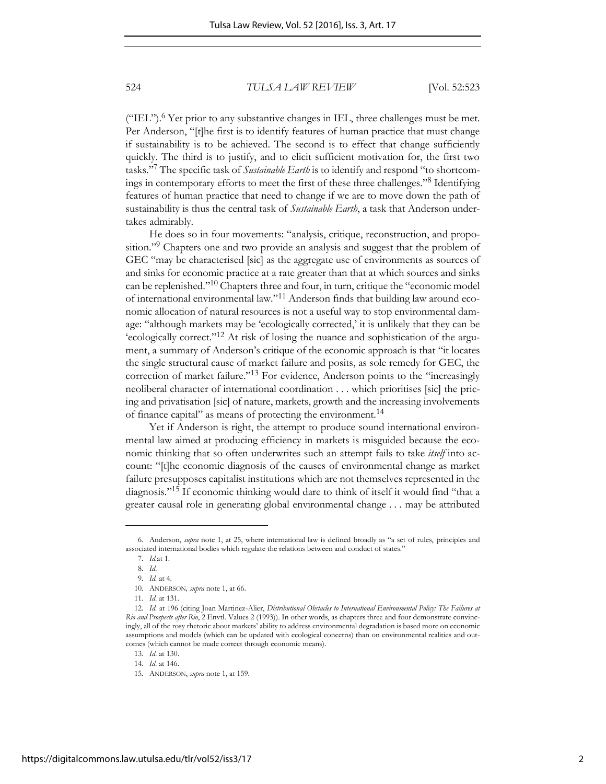#### 524 *TULSA LAW REVIEW* [Vol. 52:523

("IEL").<sup>6</sup> Yet prior to any substantive changes in IEL, three challenges must be met. Per Anderson, "[t]he first is to identify features of human practice that must change if sustainability is to be achieved. The second is to effect that change sufficiently quickly. The third is to justify, and to elicit sufficient motivation for, the first two tasks."<sup>7</sup> The specific task of *Sustainable Earth* is to identify and respond "to shortcomings in contemporary efforts to meet the first of these three challenges."<sup>8</sup> Identifying features of human practice that need to change if we are to move down the path of sustainability is thus the central task of *Sustainable Earth*, a task that Anderson undertakes admirably.

He does so in four movements: "analysis, critique, reconstruction, and proposition."<sup>9</sup> Chapters one and two provide an analysis and suggest that the problem of GEC "may be characterised [sic] as the aggregate use of environments as sources of and sinks for economic practice at a rate greater than that at which sources and sinks can be replenished."10 Chapters three and four, in turn, critique the "economic model of international environmental law."11 Anderson finds that building law around economic allocation of natural resources is not a useful way to stop environmental damage: "although markets may be 'ecologically corrected,' it is unlikely that they can be 'ecologically correct."12 At risk of losing the nuance and sophistication of the argument, a summary of Anderson's critique of the economic approach is that "it locates the single structural cause of market failure and posits, as sole remedy for GEC, the correction of market failure."<sup>13</sup> For evidence, Anderson points to the "increasingly neoliberal character of international coordination . . . which prioritises [sic] the pricing and privatisation [sic] of nature, markets, growth and the increasing involvements of finance capital" as means of protecting the environment.<sup>14</sup>

Yet if Anderson is right, the attempt to produce sound international environmental law aimed at producing efficiency in markets is misguided because the economic thinking that so often underwrites such an attempt fails to take *itself* into account: "[t]he economic diagnosis of the causes of environmental change as market failure presupposes capitalist institutions which are not themselves represented in the diagnosis."<sup>15</sup> If economic thinking would dare to think of itself it would find "that a greater causal role in generating global environmental change . . . may be attributed

<sup>6</sup>*.* Anderson, *supra* note 1, at 25, where international law is defined broadly as "a set of rules, principles and associated international bodies which regulate the relations between and conduct of states."

<sup>7.</sup> *Id.*at 1.

<sup>8</sup>*. Id*.

<sup>9</sup>*. Id.* at 4.

<sup>10</sup>*.* ANDERSON*, supra* note 1, at 66.

<sup>11</sup>*. Id*. at 131.

<sup>12</sup>*. Id.* at 196 (citing Joan Martinez-Alier, *Distributional Obstacles to International Environmental Policy: The Failures at Rio and Prospects after Rio*, 2 Envtl. Values 2 (1993)). In other words, as chapters three and four demonstrate convincingly, all of the rosy rhetoric about markets' ability to address environmental degradation is based more on economic assumptions and models (which can be updated with ecological concerns) than on environmental realities and outcomes (which cannot be made correct through economic means).

<sup>13</sup>*. Id*. at 130.

<sup>14</sup>*. Id*. at 146.

<sup>15</sup>*.* ANDERSON, *supra* note 1, at 159.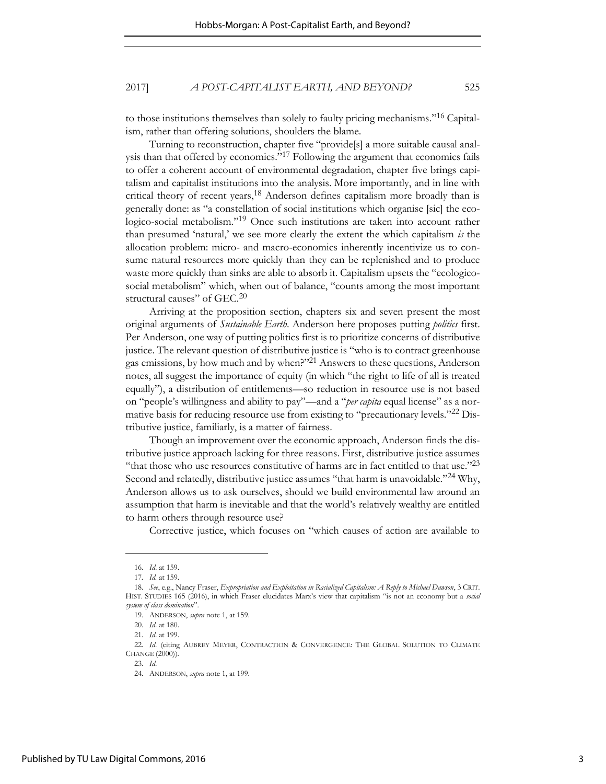### 2017] *A POST-CAPITALIST EARTH, AND BEYOND?* 525

to those institutions themselves than solely to faulty pricing mechanisms."16 Capitalism, rather than offering solutions, shoulders the blame.

Turning to reconstruction, chapter five "provide[s] a more suitable causal analysis than that offered by economics."<sup>17</sup> Following the argument that economics fails to offer a coherent account of environmental degradation, chapter five brings capitalism and capitalist institutions into the analysis. More importantly, and in line with critical theory of recent years,<sup>18</sup> Anderson defines capitalism more broadly than is generally done: as "a constellation of social institutions which organise [sic] the ecologico-social metabolism."19 Once such institutions are taken into account rather than presumed 'natural,' we see more clearly the extent the which capitalism *is* the allocation problem: micro- and macro-economics inherently incentivize us to consume natural resources more quickly than they can be replenished and to produce waste more quickly than sinks are able to absorb it. Capitalism upsets the "ecologicosocial metabolism" which, when out of balance, "counts among the most important structural causes" of GEC.<sup>20</sup>

Arriving at the proposition section, chapters six and seven present the most original arguments of *Sustainable Earth*. Anderson here proposes putting *politics* first. Per Anderson, one way of putting politics first is to prioritize concerns of distributive justice. The relevant question of distributive justice is "who is to contract greenhouse gas emissions, by how much and by when?"<sup>21</sup> Answers to these questions, Anderson notes, all suggest the importance of equity (in which "the right to life of all is treated equally"), a distribution of entitlements—so reduction in resource use is not based on "people's willingness and ability to pay"—and a "*per capita* equal license" as a normative basis for reducing resource use from existing to "precautionary levels."22 Distributive justice, familiarly, is a matter of fairness.

Though an improvement over the economic approach, Anderson finds the distributive justice approach lacking for three reasons. First, distributive justice assumes "that those who use resources constitutive of harms are in fact entitled to that use." $23$ Second and relatedly, distributive justice assumes "that harm is unavoidable."24 Why, Anderson allows us to ask ourselves, should we build environmental law around an assumption that harm is inevitable and that the world's relatively wealthy are entitled to harm others through resource use?

Corrective justice, which focuses on "which causes of action are available to

<sup>16</sup>*. Id*. at 159.

<sup>17</sup>*. Id.* at 159.

<sup>18.</sup> *See*, e.g., Nancy Fraser, *Expropriation and Exploitation in Racialized Capitalism: A Reply to Michael Dawson*, 3 CRIT. HIST. STUDIES 165 (2016), in which Fraser elucidates Marx's view that capitalism "is not an economy but a *social system of class domination*".

<sup>19.</sup> ANDERSON, *supra* note 1, at 159.

<sup>20</sup>*. Id*. at 180.

<sup>21</sup>*. Id*. at 199.

<sup>22</sup>*. Id*. (citing AUBREY MEYER, CONTRACTION & CONVERGENCE: THE GLOBAL SOLUTION TO CLIMATE CHANGE (2000))*.*

<sup>23</sup>*. Id*.

<sup>24</sup>*.* ANDERSON, *supra* note 1, at 199.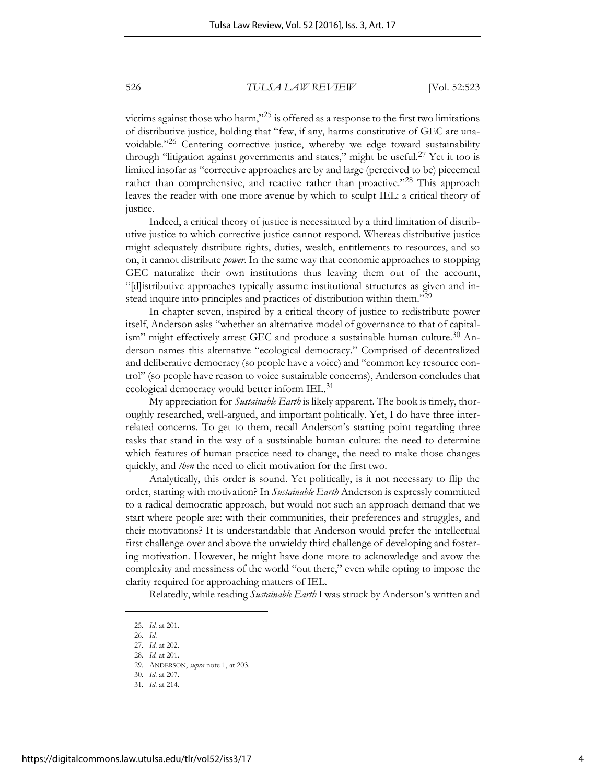526 *TULSA LAW REVIEW* [Vol. 52:523

victims against those who harm," $^{25}$  is offered as a response to the first two limitations of distributive justice, holding that "few, if any, harms constitutive of GEC are unavoidable."<sup>26</sup> Centering corrective justice, whereby we edge toward sustainability through "litigation against governments and states," might be useful.27 Yet it too is limited insofar as "corrective approaches are by and large (perceived to be) piecemeal rather than comprehensive, and reactive rather than proactive."<sup>28</sup> This approach leaves the reader with one more avenue by which to sculpt IEL: a critical theory of justice.

Indeed, a critical theory of justice is necessitated by a third limitation of distributive justice to which corrective justice cannot respond. Whereas distributive justice might adequately distribute rights, duties, wealth, entitlements to resources, and so on, it cannot distribute *power*. In the same way that economic approaches to stopping GEC naturalize their own institutions thus leaving them out of the account, "[d]istributive approaches typically assume institutional structures as given and instead inquire into principles and practices of distribution within them."<sup>29</sup>

In chapter seven, inspired by a critical theory of justice to redistribute power itself, Anderson asks "whether an alternative model of governance to that of capitalism" might effectively arrest GEC and produce a sustainable human culture. $30$  Anderson names this alternative "ecological democracy." Comprised of decentralized and deliberative democracy (so people have a voice) and "common key resource control" (so people have reason to voice sustainable concerns), Anderson concludes that ecological democracy would better inform IEL.<sup>31</sup>

My appreciation for *Sustainable Earth* is likely apparent. The book is timely, thoroughly researched, well-argued, and important politically. Yet, I do have three interrelated concerns. To get to them, recall Anderson's starting point regarding three tasks that stand in the way of a sustainable human culture: the need to determine which features of human practice need to change, the need to make those changes quickly, and *then* the need to elicit motivation for the first two.

Analytically, this order is sound. Yet politically, is it not necessary to flip the order, starting with motivation? In *Sustainable Earth* Anderson is expressly committed to a radical democratic approach, but would not such an approach demand that we start where people are: with their communities, their preferences and struggles, and their motivations? It is understandable that Anderson would prefer the intellectual first challenge over and above the unwieldy third challenge of developing and fostering motivation. However, he might have done more to acknowledge and avow the complexity and messiness of the world "out there," even while opting to impose the clarity required for approaching matters of IEL.

Relatedly, while reading *Sustainable Earth* I was struck by Anderson's written and

<sup>25.</sup> *Id*. at 201.

<sup>26</sup>*. Id*.

<sup>27</sup>*. Id*. at 202.

<sup>28</sup>*. Id.* at 201.

<sup>29</sup>*.* ANDERSON, *supra* note 1, at 203.

<sup>30</sup>*. Id*. at 207.

<sup>31</sup>*. Id*. at 214.